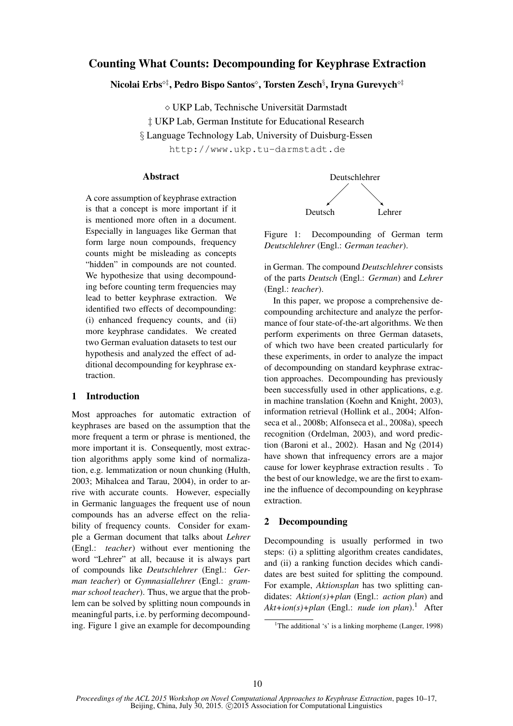# Counting What Counts: Decompounding for Keyphrase Extraction

Nicolai Erbs°‡, Pedro Bispo Santos°, Torsten Zesch§, Iryna Gurevych°‡

UKP Lab, Technische Universitat Darmstadt ¨

‡ UKP Lab, German Institute for Educational Research

§ Language Technology Lab, University of Duisburg-Essen

http://www.ukp.tu-darmstadt.de

# Abstract

A core assumption of keyphrase extraction is that a concept is more important if it is mentioned more often in a document. Especially in languages like German that form large noun compounds, frequency counts might be misleading as concepts "hidden" in compounds are not counted. We hypothesize that using decompounding before counting term frequencies may lead to better keyphrase extraction. We identified two effects of decompounding: (i) enhanced frequency counts, and (ii) more keyphrase candidates. We created two German evaluation datasets to test our hypothesis and analyzed the effect of additional decompounding for keyphrase extraction.

# 1 Introduction

Most approaches for automatic extraction of keyphrases are based on the assumption that the more frequent a term or phrase is mentioned, the more important it is. Consequently, most extraction algorithms apply some kind of normalization, e.g. lemmatization or noun chunking (Hulth, 2003; Mihalcea and Tarau, 2004), in order to arrive with accurate counts. However, especially in Germanic languages the frequent use of noun compounds has an adverse effect on the reliability of frequency counts. Consider for example a German document that talks about *Lehrer* (Engl.: *teacher*) without ever mentioning the word "Lehrer" at all, because it is always part of compounds like *Deutschlehrer* (Engl.: *German teacher*) or *Gymnasiallehrer* (Engl.: *grammar school teacher*). Thus, we argue that the problem can be solved by splitting noun compounds in meaningful parts, i.e. by performing decompounding. Figure 1 give an example for decompounding



Figure 1: Decompounding of German term *Deutschlehrer* (Engl.: *German teacher*).

in German. The compound *Deutschlehrer* consists of the parts *Deutsch* (Engl.: *German*) and *Lehrer* (Engl.: *teacher*).

In this paper, we propose a comprehensive decompounding architecture and analyze the performance of four state-of-the-art algorithms. We then perform experiments on three German datasets, of which two have been created particularly for these experiments, in order to analyze the impact of decompounding on standard keyphrase extraction approaches. Decompounding has previously been successfully used in other applications, e.g. in machine translation (Koehn and Knight, 2003), information retrieval (Hollink et al., 2004; Alfonseca et al., 2008b; Alfonseca et al., 2008a), speech recognition (Ordelman, 2003), and word prediction (Baroni et al., 2002). Hasan and  $Ng(2014)$ have shown that infrequency errors are a major cause for lower keyphrase extraction results . To the best of our knowledge, we are the first to examine the influence of decompounding on keyphrase extraction.

# 2 Decompounding

Decompounding is usually performed in two steps: (i) a splitting algorithm creates candidates, and (ii) a ranking function decides which candidates are best suited for splitting the compound. For example, *Aktionsplan* has two splitting candidates: *Aktion(s)+plan* (Engl.: *action plan*) and  $Akt + i\text{on}(s) + plan$  (Engl.: *nude ion plan*).<sup>1</sup> After

<sup>&</sup>lt;sup>1</sup>The additional 's' is a linking morpheme (Langer, 1998)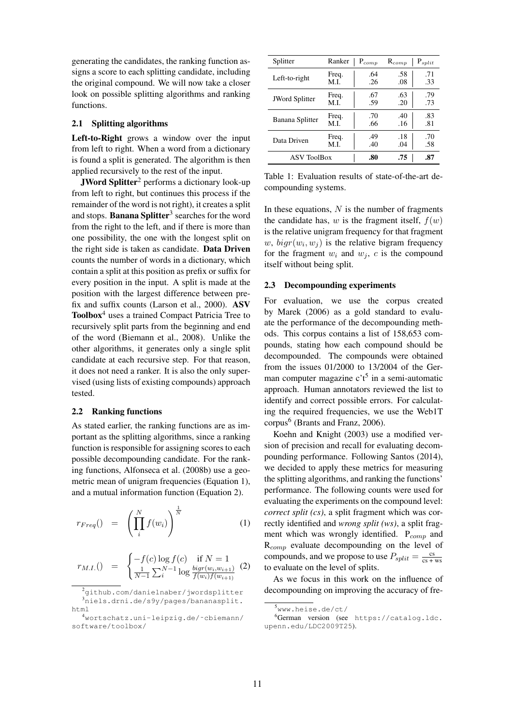generating the candidates, the ranking function assigns a score to each splitting candidate, including the original compound. We will now take a closer look on possible splitting algorithms and ranking functions.

#### 2.1 Splitting algorithms

Left-to-Right grows a window over the input from left to right. When a word from a dictionary is found a split is generated. The algorithm is then applied recursively to the rest of the input.

JWord Splitter<sup>2</sup> performs a dictionary look-up from left to right, but continues this process if the remainder of the word is not right), it creates a split and stops. Banana Splitter<sup>3</sup> searches for the word from the right to the left, and if there is more than one possibility, the one with the longest split on the right side is taken as candidate. Data Driven counts the number of words in a dictionary, which contain a split at this position as prefix or suffix for every position in the input. A split is made at the position with the largest difference between prefix and suffix counts (Larson et al., 2000). ASV Toolbox<sup>4</sup> uses a trained Compact Patricia Tree to recursively split parts from the beginning and end of the word (Biemann et al., 2008). Unlike the other algorithms, it generates only a single split candidate at each recursive step. For that reason, it does not need a ranker. It is also the only supervised (using lists of existing compounds) approach tested.

### 2.2 Ranking functions

As stated earlier, the ranking functions are as important as the splitting algorithms, since a ranking function is responsible for assigning scores to each possible decompounding candidate. For the ranking functions, Alfonseca et al. (2008b) use a geometric mean of unigram frequencies (Equation 1), and a mutual information function (Equation 2).

$$
r_{Freq}() = \left(\prod_{i}^{N} f(w_i)\right)^{\frac{1}{N}} \tag{1}
$$

$$
r_{M.I.}() = \begin{cases} -f(c) \log f(c) & \text{if } N = 1\\ \frac{1}{N-1} \sum_{i}^{N-1} \log \frac{bigr(w_i, w_{i+1})}{f(w_i)f(w_{i+1})} \end{cases}
$$
 (2)

| Splitter              | Ranker | $P_{comp}$ | $R_{comp}$ | $P_{split}$ |  |
|-----------------------|--------|------------|------------|-------------|--|
| Left-to-right         | Freq.  | .64        | .58        | .71         |  |
|                       | M.I.   | .26        | .08        | .33         |  |
| <b>JWord Splitter</b> | Freq.  | .67        | .63        | .79         |  |
|                       | M.I.   | .59        | .20        | .73         |  |
| Banana Splitter       | Freq.  | .70        | .40        | .83         |  |
|                       | M.L    | .66        | .16        | .81         |  |
| Data Driven           | Freq.  | .49        | .18        | .70         |  |
|                       | M.I.   | .40        | .04        | .58         |  |
| <b>ASV ToolBox</b>    | .80    | .75        | .87        |             |  |

Table 1: Evaluation results of state-of-the-art decompounding systems.

In these equations,  $N$  is the number of fragments the candidate has, w is the fragment itself,  $f(w)$ is the relative unigram frequency for that fragment w,  $bigr(w_i, w_j)$  is the relative bigram frequency for the fragment  $w_i$  and  $w_j$ , c is the compound itself without being split.

#### 2.3 Decompounding experiments

For evaluation, we use the corpus created by Marek (2006) as a gold standard to evaluate the performance of the decompounding methods. This corpus contains a list of 158,653 compounds, stating how each compound should be decompounded. The compounds were obtained from the issues 01/2000 to 13/2004 of the German computer magazine  $c't^5$  in a semi-automatic approach. Human annotators reviewed the list to identify and correct possible errors. For calculating the required frequencies, we use the Web1T corpus<sup>6</sup> (Brants and Franz, 2006).

Koehn and Knight (2003) use a modified version of precision and recall for evaluating decompounding performance. Following Santos (2014), we decided to apply these metrics for measuring the splitting algorithms, and ranking the functions' performance. The following counts were used for evaluating the experiments on the compound level: *correct split (cs)*, a split fragment which was correctly identified and *wrong split (ws)*, a split fragment which was wrongly identified.  $P_{comm}$  and R<sub>comp</sub> evaluate decompounding on the level of compounds, and we propose to use  $P_{split} = \frac{cs}{cs + ws}$ to evaluate on the level of splits.

As we focus in this work on the influence of decompounding on improving the accuracy of fre-

<sup>2</sup>github.com/danielnaber/jwordsplitter <sup>3</sup>niels.drni.de/s9y/pages/bananasplit. html

<sup>4</sup>wortschatz.uni-leipzig.de/˜cbiemann/ software/toolbox/

<sup>5</sup>www.heise.de/ct/

<sup>6</sup>German version (see https://catalog.ldc. upenn.edu/LDC2009T25).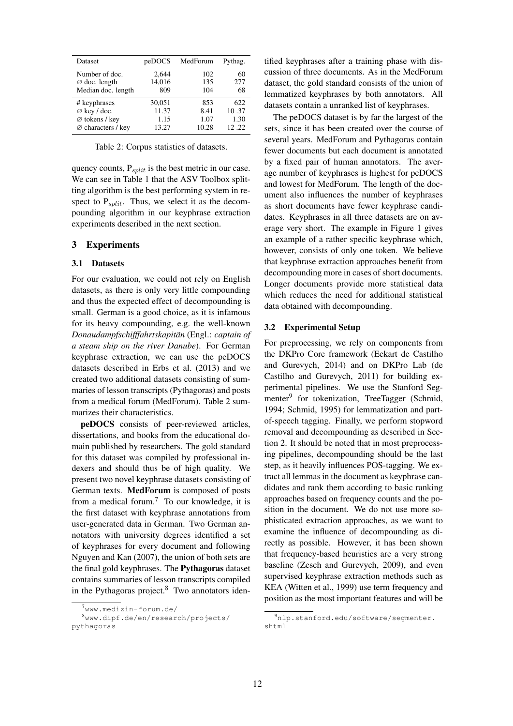| Dataset                        | peDOCS | MedForum | Pythag. |
|--------------------------------|--------|----------|---------|
| Number of doc.                 | 2.644  | 102      | 60      |
| $\varnothing$ doc. length      | 14,016 | 135      | 277     |
| Median doc. length             | 809    | 104      | 68      |
| # keyphrases                   | 30,051 | 853      | 622     |
| $\varnothing$ key / doc.       | 11.37  | 8.41     | 10.37   |
| $\varnothing$ tokens / key     | 1.15   | 1.07     | 1.30    |
| $\varnothing$ characters / key | 13.27  | 10.28    | 12.22   |

Table 2: Corpus statistics of datasets.

quency counts,  $P_{split}$  is the best metric in our case. We can see in Table 1 that the ASV Toolbox splitting algorithm is the best performing system in respect to  $P_{split}$ . Thus, we select it as the decompounding algorithm in our keyphrase extraction experiments described in the next section.

# 3 Experiments

### 3.1 Datasets

For our evaluation, we could not rely on English datasets, as there is only very little compounding and thus the expected effect of decompounding is small. German is a good choice, as it is infamous for its heavy compounding, e.g. the well-known *Donaudampfschifffahrtskapitan¨* (Engl.: *captain of a steam ship on the river Danube*). For German keyphrase extraction, we can use the peDOCS datasets described in Erbs et al. (2013) and we created two additional datasets consisting of summaries of lesson transcripts (Pythagoras) and posts from a medical forum (MedForum). Table 2 summarizes their characteristics.

peDOCS consists of peer-reviewed articles, dissertations, and books from the educational domain published by researchers. The gold standard for this dataset was compiled by professional indexers and should thus be of high quality. We present two novel keyphrase datasets consisting of German texts. MedForum is composed of posts from a medical forum.<sup>7</sup> To our knowledge, it is the first dataset with keyphrase annotations from user-generated data in German. Two German annotators with university degrees identified a set of keyphrases for every document and following Nguyen and Kan (2007), the union of both sets are the final gold keyphrases. The Pythagoras dataset contains summaries of lesson transcripts compiled in the Pythagoras project. $8$  Two annotators identified keyphrases after a training phase with discussion of three documents. As in the MedForum dataset, the gold standard consists of the union of lemmatized keyphrases by both annotators. All datasets contain a unranked list of keyphrases.

The peDOCS dataset is by far the largest of the sets, since it has been created over the course of several years. MedForum and Pythagoras contain fewer documents but each document is annotated by a fixed pair of human annotators. The average number of keyphrases is highest for peDOCS and lowest for MedForum. The length of the document also influences the number of keyphrases as short documents have fewer keyphrase candidates. Keyphrases in all three datasets are on average very short. The example in Figure 1 gives an example of a rather specific keyphrase which, however, consists of only one token. We believe that keyphrase extraction approaches benefit from decompounding more in cases of short documents. Longer documents provide more statistical data which reduces the need for additional statistical data obtained with decompounding.

# 3.2 Experimental Setup

For preprocessing, we rely on components from the DKPro Core framework (Eckart de Castilho and Gurevych, 2014) and on DKPro Lab (de Castilho and Gurevych, 2011) for building experimental pipelines. We use the Stanford Segmenter<sup>9</sup> for tokenization, TreeTagger (Schmid, 1994; Schmid, 1995) for lemmatization and partof-speech tagging. Finally, we perform stopword removal and decompounding as described in Section 2. It should be noted that in most preprocessing pipelines, decompounding should be the last step, as it heavily influences POS-tagging. We extract all lemmas in the document as keyphrase candidates and rank them according to basic ranking approaches based on frequency counts and the position in the document. We do not use more sophisticated extraction approaches, as we want to examine the influence of decompounding as directly as possible. However, it has been shown that frequency-based heuristics are a very strong baseline (Zesch and Gurevych, 2009), and even supervised keyphrase extraction methods such as KEA (Witten et al., 1999) use term frequency and position as the most important features and will be

<sup>7</sup>www.medizin-forum.de/

<sup>8</sup>www.dipf.de/en/research/projects/ pythagoras

<sup>9</sup>nlp.stanford.edu/software/segmenter. shtml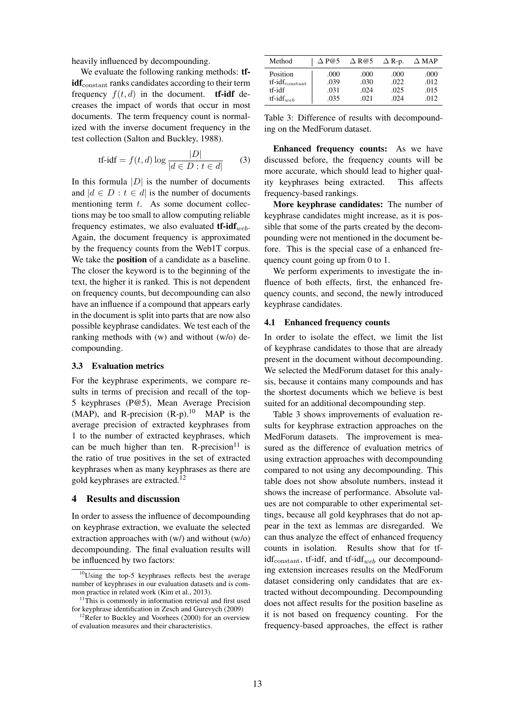heavily influenced by decompounding.

We evaluate the following ranking methods: **tf**idf<sub>constant</sub> ranks candidates according to their term frequency  $f(t, d)$  in the document. **tf-idf** decreases the impact of words that occur in most documents. The term frequency count is normalized with the inverse document frequency in the test collection (Salton and Buckley, 1988).

$$
\text{tf-idf} = f(t, d) \log \frac{|D|}{|d \in D : t \in d|} \qquad (3)
$$

In this formula  $|D|$  is the number of documents and  $|d \in D : t \in d|$  is the number of documents mentioning term  $t$ . As some document collections may be too small to allow computing reliable frequency estimates, we also evaluated  $\mathbf{tf-idf}_{web}$ . Again, the document frequency is approximated by the frequency counts from the Web1T corpus. We take the position of a candidate as a baseline. The closer the keyword is to the beginning of the text, the higher it is ranked. This is not dependent on frequency counts, but decompounding can also have an influence if a compound that appears early in the document is split into parts that are now also possible keyphrase candidates. We test each of the ranking methods with (w) and without (w/o) decompounding.

# 3.3 Evaluation metrics

For the keyphrase experiments, we compare results in terms of precision and recall of the top-5 keyphrases (P@5), Mean Average Precision (MAP), and R-precision  $(R-p)$ .<sup>10</sup> MAP is the average precision of extracted keyphrases from 1 to the number of extracted keyphrases, which can be much higher than ten. R-precision<sup>11</sup> is the ratio of true positives in the set of extracted keyphrases when as many keyphrases as there are gold keyphrases are extracted.<sup>12</sup>

# 4 Results and discussion

In order to assess the influence of decompounding on keyphrase extraction, we evaluate the selected extraction approaches with (w/) and without (w/o) decompounding. The final evaluation results will be influenced by two factors:

| Method                  | $\triangle$ P@5 | $\triangle$ R@5 | $\Delta$ R-p. | $\Delta$ MAP |
|-------------------------|-----------------|-----------------|---------------|--------------|
| Position                | .000            | .000            | .000          | .000         |
| $tf-idf_{\rm constant}$ | .039            | .030            | .022          | .012         |
| tf-idf                  | .031            | .024            | .025          | .015         |
| $tf-idf_{web}$          | .035            | .021            | .024          | .012         |

Table 3: Difference of results with decompounding on the MedForum dataset.

Enhanced frequency counts: As we have discussed before, the frequency counts will be more accurate, which should lead to higher quality keyphrases being extracted. This affects frequency-based rankings.

More keyphrase candidates: The number of keyphrase candidates might increase, as it is possible that some of the parts created by the decompounding were not mentioned in the document before. This is the special case of a enhanced frequency count going up from 0 to 1.

We perform experiments to investigate the influence of both effects, first, the enhanced frequency counts, and second, the newly introduced keyphrase candidates.

#### 4.1 Enhanced frequency counts

In order to isolate the effect, we limit the list of keyphrase candidates to those that are already present in the document without decompounding. We selected the MedForum dataset for this analysis, because it contains many compounds and has the shortest documents which we believe is best suited for an additional decompounding step.

Table 3 shows improvements of evaluation results for keyphrase extraction approaches on the MedForum datasets. The improvement is measured as the difference of evaluation metrics of using extraction approaches with decompounding compared to not using any decompounding. This table does not show absolute numbers, instead it shows the increase of performance. Absolute values are not comparable to other experimental settings, because all gold keyphrases that do not appear in the text as lemmas are disregarded. We can thus analyze the effect of enhanced frequency counts in isolation. Results show that for tf $idf_{constant}$ , tf-idf, and tf-idf<sub>web</sub> our decompounding extension increases results on the MedForum dataset considering only candidates that are extracted without decompounding. Decompounding does not affect results for the position baseline as it is not based on frequency counting. For the frequency-based approaches, the effect is rather

 $10\overline{\text{Using}}$  the top-5 keyphrases reflects best the average number of keyphrases in our evaluation datasets and is common practice in related work (Kim et al., 2013).

<sup>&</sup>lt;sup>11</sup>This is commonly in information retrieval and first used for keyphrase identification in Zesch and Gurevych (2009)

<sup>&</sup>lt;sup>12</sup>Refer to Buckley and Voorhees (2000) for an overview of evaluation measures and their characteristics.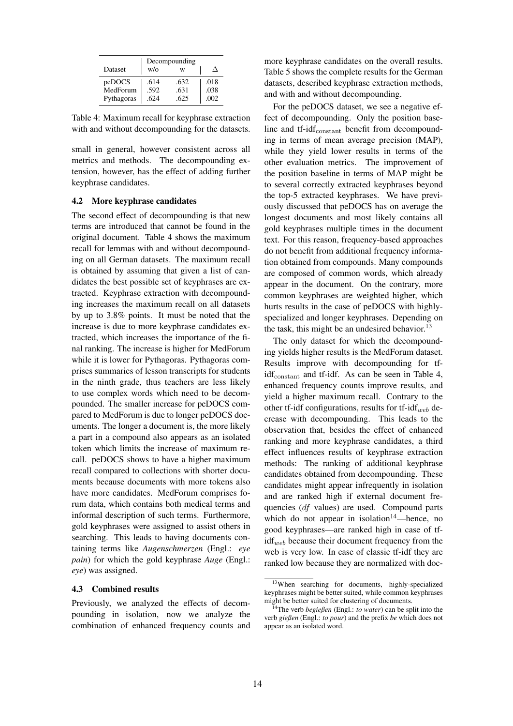|            | Decompounding |      |      |  |  |  |
|------------|---------------|------|------|--|--|--|
| Dataset    | $w/\alpha$    | w    |      |  |  |  |
| peDOCS     | .614          | .632 | .018 |  |  |  |
| MedForum   | .592          | .631 | .038 |  |  |  |
| Pythagoras | .624          | .625 | .002 |  |  |  |

Table 4: Maximum recall for keyphrase extraction with and without decompounding for the datasets.

small in general, however consistent across all metrics and methods. The decompounding extension, however, has the effect of adding further keyphrase candidates.

#### 4.2 More keyphrase candidates

The second effect of decompounding is that new terms are introduced that cannot be found in the original document. Table 4 shows the maximum recall for lemmas with and without decompounding on all German datasets. The maximum recall is obtained by assuming that given a list of candidates the best possible set of keyphrases are extracted. Keyphrase extraction with decompounding increases the maximum recall on all datasets by up to 3.8% points. It must be noted that the increase is due to more keyphrase candidates extracted, which increases the importance of the final ranking. The increase is higher for MedForum while it is lower for Pythagoras. Pythagoras comprises summaries of lesson transcripts for students in the ninth grade, thus teachers are less likely to use complex words which need to be decompounded. The smaller increase for peDOCS compared to MedForum is due to longer peDOCS documents. The longer a document is, the more likely a part in a compound also appears as an isolated token which limits the increase of maximum recall. peDOCS shows to have a higher maximum recall compared to collections with shorter documents because documents with more tokens also have more candidates. MedForum comprises forum data, which contains both medical terms and informal description of such terms. Furthermore, gold keyphrases were assigned to assist others in searching. This leads to having documents containing terms like *Augenschmerzen* (Engl.: *eye pain*) for which the gold keyphrase *Auge* (Engl.: *eye*) was assigned.

### 4.3 Combined results

Previously, we analyzed the effects of decompounding in isolation, now we analyze the combination of enhanced frequency counts and more keyphrase candidates on the overall results. Table 5 shows the complete results for the German datasets, described keyphrase extraction methods, and with and without decompounding.

For the peDOCS dataset, we see a negative effect of decompounding. Only the position baseline and tf-idf<sub>constant</sub> benefit from decompounding in terms of mean average precision (MAP), while they yield lower results in terms of the other evaluation metrics. The improvement of the position baseline in terms of MAP might be to several correctly extracted keyphrases beyond the top-5 extracted keyphrases. We have previously discussed that peDOCS has on average the longest documents and most likely contains all gold keyphrases multiple times in the document text. For this reason, frequency-based approaches do not benefit from additional frequency information obtained from compounds. Many compounds are composed of common words, which already appear in the document. On the contrary, more common keyphrases are weighted higher, which hurts results in the case of peDOCS with highlyspecialized and longer keyphrases. Depending on the task, this might be an undesired behavior.<sup>13</sup>

The only dataset for which the decompounding yields higher results is the MedForum dataset. Results improve with decompounding for tf- $\text{idf}_{\text{constant}}$  and tf-idf. As can be seen in Table 4, enhanced frequency counts improve results, and yield a higher maximum recall. Contrary to the other tf-idf configurations, results for tf-idf<sub>web</sub> decrease with decompounding. This leads to the observation that, besides the effect of enhanced ranking and more keyphrase candidates, a third effect influences results of keyphrase extraction methods: The ranking of additional keyphrase candidates obtained from decompounding. These candidates might appear infrequently in isolation and are ranked high if external document frequencies (df values) are used. Compound parts which do not appear in isolation $14$ —hence, no good keyphrases—are ranked high in case of tf- $\text{idf}_{web}$  because their document frequency from the web is very low. In case of classic tf-idf they are ranked low because they are normalized with doc-

<sup>&</sup>lt;sup>13</sup>When searching for documents, highly-specialized keyphrases might be better suited, while common keyphrases might be better suited for clustering of documents.

<sup>14</sup>The verb *begießen* (Engl.: *to water*) can be split into the verb *gießen* (Engl.: *to pour*) and the prefix *be* which does not appear as an isolated word.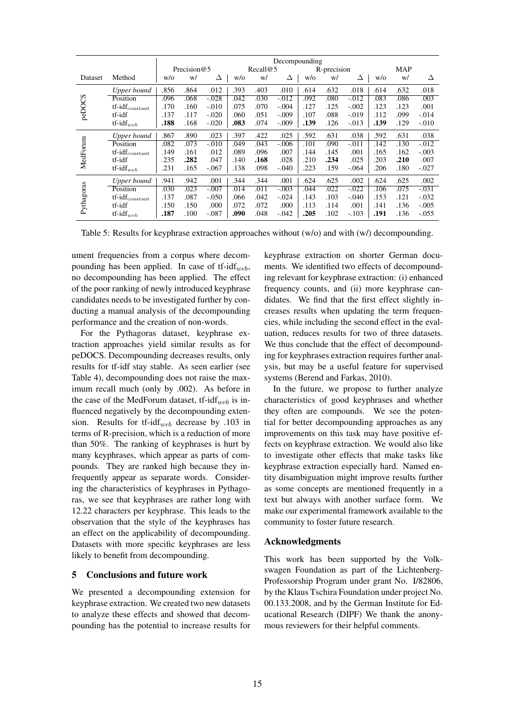|            |                               | Decompounding |                |         |          |      |          |             |      |         |      |      |          |
|------------|-------------------------------|---------------|----------------|---------|----------|------|----------|-------------|------|---------|------|------|----------|
|            |                               |               | Precision $@5$ |         | Recall@5 |      |          | R-precision |      |         | MAP  |      |          |
| Dataset    | Method                        | W/O           | W/             | Δ       | W/O      | W/   | Δ        | W/O         | w/   | Δ       | W/O  | W/   | Δ        |
|            | Upper bound                   | .856          | .864           | .012    | .393     | .403 | .010     | .614        | .632 | .018    | .614 | .632 | .018     |
|            | Position                      | .096          | .068           | $-.028$ | .042     | .030 | $-0.012$ | .092        | .080 | $-.012$ | .083 | .086 | .003     |
| peDOCS     | $tf-idf_{constant}$           | .170          | .160           | $-.010$ | .075     | .070 | $-.004$  | .127        | .125 | $-.002$ | .123 | .123 | .001     |
|            | tf-idf                        | .137          | .117           | $-.020$ | .060     | .051 | $-.009$  | .107        | .088 | $-.019$ | .112 | .099 | $-.014$  |
|            | $tf$ -id $f_{web}$            | .188          | .168           | $-.020$ | .083     | .074 | $-.009$  | .139        | .126 | $-.013$ | .139 | .129 | $-.010$  |
|            | Upper bound                   | .867          | .890           | .023    | .397     | .422 | .025     | .592        | .631 | .038    | .592 | .631 | .038     |
|            | Position                      | .082          | .073           | $-.010$ | .049     | .043 | $-.006$  | .101        | .090 | $-.011$ | .142 | .130 | $-0.012$ |
|            | $tf-idf_{constant}$           | .149          | .161           | .012    | .089     | .096 | .007     | .144        | .145 | .001    | .165 | .162 | $-.003$  |
| MedForum   | tf-idf                        | .235          | .282           | .047    | .140     | .168 | .028     | .210        | .234 | .025    | .203 | .210 | .007     |
|            | $tf-idf_{web}$                | .231          | .165           | $-.067$ | .138     | .098 | $-.040$  | .223        | .159 | $-.064$ | .206 | .180 | $-.027$  |
| Pythagoras | Upper bound                   | .941          | .942           | .001    | .344     | .344 | .001     | .624        | .625 | .002    | .624 | .625 | .002     |
|            | Position                      | .030          | .023           | $-.007$ | .014     | .011 | $-.003$  | .044        | .022 | $-.022$ | .106 | .075 | $-.031$  |
|            | $tf-idf_{constant}$           | .137          | .087           | $-.050$ | .066     | .042 | $-.024$  | .143        | .103 | $-.040$ | .153 | .121 | $-.032$  |
|            | tf-idf                        | .150          | .150           | .000    | .072     | .072 | .000     | .113        | .114 | .001    | .141 | .136 | $-.005$  |
|            | $\operatorname{tf-idf}_{web}$ | .187          | .100           | $-.087$ | .090     | .048 | $-.042$  | .205        | .102 | $-.103$ | .191 | .136 | $-.055$  |

Table 5: Results for keyphrase extraction approaches without (w/o) and with (w/) decompounding.

ument frequencies from a corpus where decompounding has been applied. In case of tf-idf<sub>web</sub>, no decompounding has been applied. The effect of the poor ranking of newly introduced keyphrase candidates needs to be investigated further by conducting a manual analysis of the decompounding performance and the creation of non-words.

For the Pythagoras dataset, keyphrase extraction approaches yield similar results as for peDOCS. Decompounding decreases results, only results for tf-idf stay stable. As seen earlier (see Table 4), decompounding does not raise the maximum recall much (only by .002). As before in the case of the MedForum dataset, tf- $idf_{web}$  is influenced negatively by the decompounding extension. Results for tf-idf<sub>web</sub> decrease by .103 in terms of R-precision, which is a reduction of more than 50%. The ranking of keyphrases is hurt by many keyphrases, which appear as parts of compounds. They are ranked high because they infrequently appear as separate words. Considering the characteristics of keyphrases in Pythagoras, we see that keyphrases are rather long with 12.22 characters per keyphrase. This leads to the observation that the style of the keyphrases has an effect on the applicability of decompounding. Datasets with more specific keyphrases are less likely to benefit from decompounding.

### 5 Conclusions and future work

We presented a decompounding extension for keyphrase extraction. We created two new datasets to analyze these effects and showed that decompounding has the potential to increase results for keyphrase extraction on shorter German documents. We identified two effects of decompounding relevant for keyphrase extraction: (i) enhanced frequency counts, and (ii) more keyphrase candidates. We find that the first effect slightly increases results when updating the term frequencies, while including the second effect in the evaluation, reduces results for two of three datasets. We thus conclude that the effect of decompounding for keyphrases extraction requires further analysis, but may be a useful feature for supervised systems (Berend and Farkas, 2010).

In the future, we propose to further analyze characteristics of good keyphrases and whether they often are compounds. We see the potential for better decompounding approaches as any improvements on this task may have positive effects on keyphrase extraction. We would also like to investigate other effects that make tasks like keyphrase extraction especially hard. Named entity disambiguation might improve results further as some concepts are mentioned frequently in a text but always with another surface form. We make our experimental framework available to the community to foster future research.

### Acknowledgments

This work has been supported by the Volkswagen Foundation as part of the Lichtenberg-Professorship Program under grant No. I/82806, by the Klaus Tschira Foundation under project No. 00.133.2008, and by the German Institute for Educational Research (DIPF) We thank the anonymous reviewers for their helpful comments.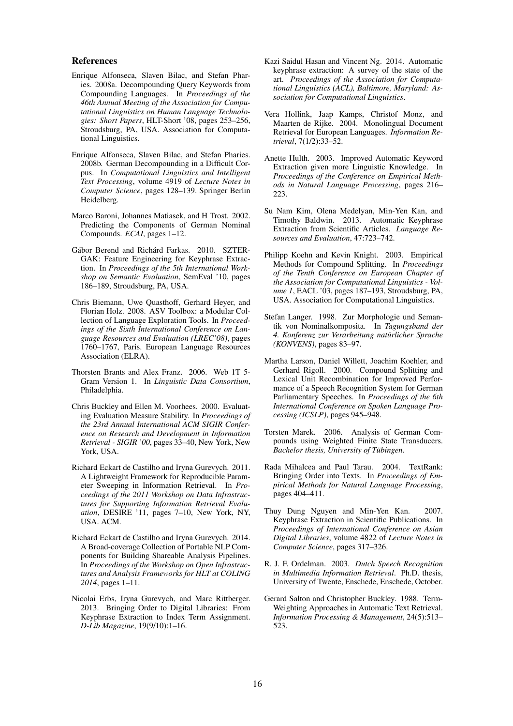### References

- Enrique Alfonseca, Slaven Bilac, and Stefan Pharies. 2008a. Decompounding Query Keywords from Compounding Languages. In *Proceedings of the 46th Annual Meeting of the Association for Computational Linguistics on Human Language Technologies: Short Papers*, HLT-Short '08, pages 253–256, Stroudsburg, PA, USA. Association for Computational Linguistics.
- Enrique Alfonseca, Slaven Bilac, and Stefan Pharies. 2008b. German Decompounding in a Difficult Corpus. In *Computational Linguistics and Intelligent Text Processing*, volume 4919 of *Lecture Notes in Computer Science*, pages 128–139. Springer Berlin Heidelberg.
- Marco Baroni, Johannes Matiasek, and H Trost. 2002. Predicting the Components of German Nominal Compounds. *ECAI*, pages 1–12.
- Gábor Berend and Richárd Farkas. 2010. SZTER-GAK: Feature Engineering for Keyphrase Extraction. In *Proceedings of the 5th International Workshop on Semantic Evaluation*, SemEval '10, pages 186–189, Stroudsburg, PA, USA.
- Chris Biemann, Uwe Quasthoff, Gerhard Heyer, and Florian Holz. 2008. ASV Toolbox: a Modular Collection of Language Exploration Tools. In *Proceedings of the Sixth International Conference on Language Resources and Evaluation (LREC'08)*, pages 1760–1767, Paris. European Language Resources Association (ELRA).
- Thorsten Brants and Alex Franz. 2006. Web 1T 5- Gram Version 1. In *Linguistic Data Consortium*, Philadelphia.
- Chris Buckley and Ellen M. Voorhees. 2000. Evaluating Evaluation Measure Stability. In *Proceedings of the 23rd Annual International ACM SIGIR Conference on Research and Development in Information Retrieval - SIGIR '00*, pages 33–40, New York, New York, USA.
- Richard Eckart de Castilho and Iryna Gurevych. 2011. A Lightweight Framework for Reproducible Parameter Sweeping in Information Retrieval. In *Proceedings of the 2011 Workshop on Data Infrastructures for Supporting Information Retrieval Evaluation*, DESIRE '11, pages 7–10, New York, NY, USA. ACM.
- Richard Eckart de Castilho and Iryna Gurevych. 2014. A Broad-coverage Collection of Portable NLP Components for Building Shareable Analysis Pipelines. In *Proceedings of the Workshop on Open Infrastructures and Analysis Frameworks for HLT at COLING 2014*, pages 1–11.
- Nicolai Erbs, Iryna Gurevych, and Marc Rittberger. 2013. Bringing Order to Digital Libraries: From Keyphrase Extraction to Index Term Assignment. *D-Lib Magazine*, 19(9/10):1–16.
- Kazi Saidul Hasan and Vincent Ng. 2014. Automatic keyphrase extraction: A survey of the state of the art. *Proceedings of the Association for Computational Linguistics (ACL), Baltimore, Maryland: Association for Computational Linguistics*.
- Vera Hollink, Jaap Kamps, Christof Monz, and Maarten de Rijke. 2004. Monolingual Document Retrieval for European Languages. *Information Retrieval*, 7(1/2):33–52.
- Anette Hulth. 2003. Improved Automatic Keyword Extraction given more Linguistic Knowledge. In *Proceedings of the Conference on Empirical Methods in Natural Language Processing*, pages 216– 223.
- Su Nam Kim, Olena Medelyan, Min-Yen Kan, and Timothy Baldwin. 2013. Automatic Keyphrase Extraction from Scientific Articles. *Language Resources and Evaluation*, 47:723–742.
- Philipp Koehn and Kevin Knight. 2003. Empirical Methods for Compound Splitting. In *Proceedings of the Tenth Conference on European Chapter of the Association for Computational Linguistics - Volume 1*, EACL '03, pages 187–193, Stroudsburg, PA, USA. Association for Computational Linguistics.
- Stefan Langer. 1998. Zur Morphologie und Semantik von Nominalkomposita. In *Tagungsband der 4. Konferenz zur Verarbeitung naturlicher Sprache ¨ (KONVENS)*, pages 83–97.
- Martha Larson, Daniel Willett, Joachim Koehler, and Gerhard Rigoll. 2000. Compound Splitting and Lexical Unit Recombination for Improved Performance of a Speech Recognition System for German Parliamentary Speeches. In *Proceedings of the 6th International Conference on Spoken Language Processing (ICSLP)*, pages 945–948.
- Torsten Marek. 2006. Analysis of German Compounds using Weighted Finite State Transducers. *Bachelor thesis, University of Tübingen.*
- Rada Mihalcea and Paul Tarau. 2004. TextRank: Bringing Order into Texts. In *Proceedings of Empirical Methods for Natural Language Processing*, pages 404–411.
- Thuy Dung Nguyen and Min-Yen Kan. 2007. Keyphrase Extraction in Scientific Publications. In *Proceedings of International Conference on Asian Digital Libraries*, volume 4822 of *Lecture Notes in Computer Science*, pages 317–326.
- R. J. F. Ordelman. 2003. *Dutch Speech Recognition in Multimedia Information Retrieval*. Ph.D. thesis, University of Twente, Enschede, Enschede, October.
- Gerard Salton and Christopher Buckley. 1988. Term-Weighting Approaches in Automatic Text Retrieval. *Information Processing & Management*, 24(5):513– 523.